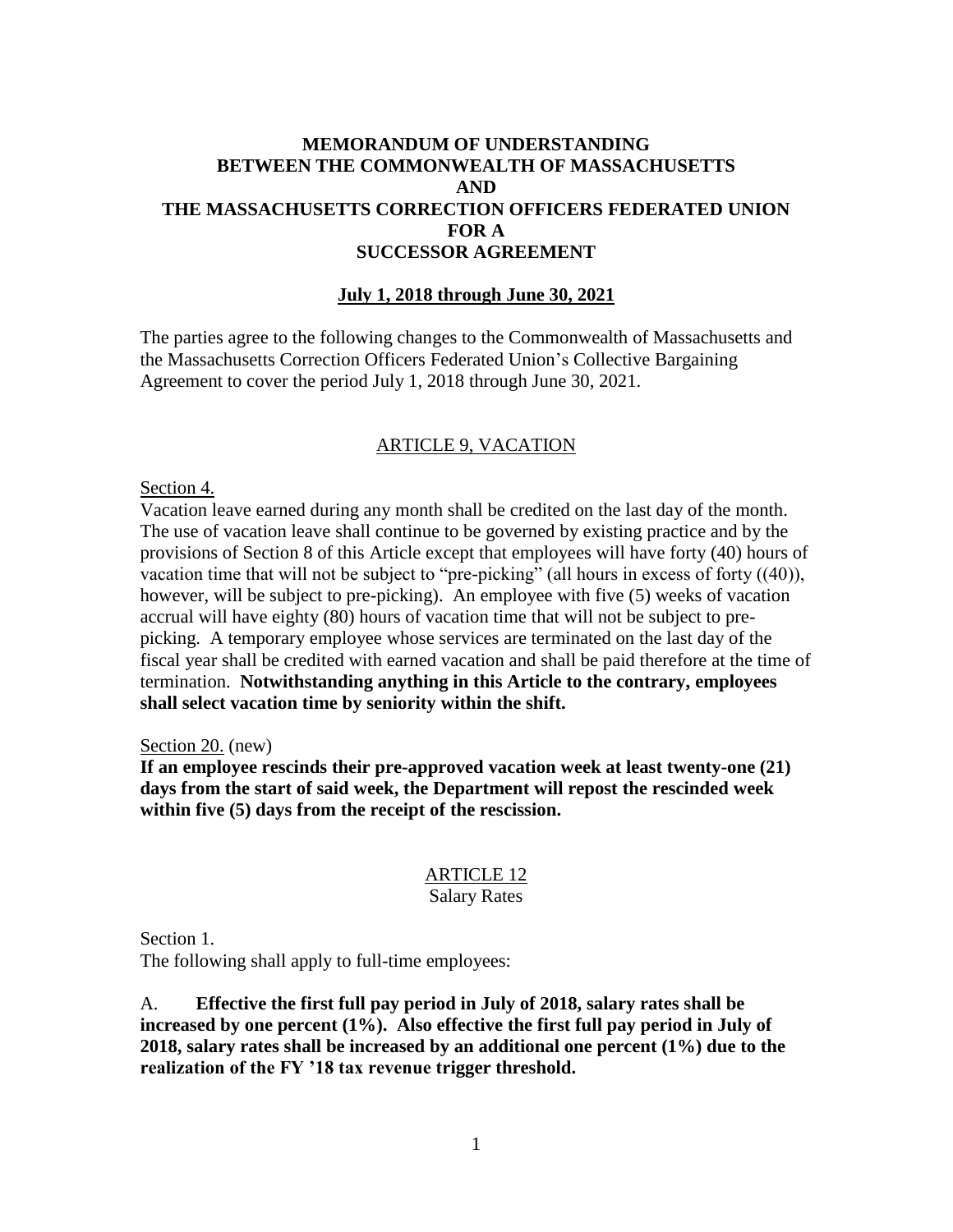## **MEMORANDUM OF UNDERSTANDING BETWEEN THE COMMONWEALTH OF MASSACHUSETTS AND THE MASSACHUSETTS CORRECTION OFFICERS FEDERATED UNION FOR A SUCCESSOR AGREEMENT**

### **July 1, 2018 through June 30, 2021**

The parties agree to the following changes to the Commonwealth of Massachusetts and the Massachusetts Correction Officers Federated Union's Collective Bargaining Agreement to cover the period July 1, 2018 through June 30, 2021.

### ARTICLE 9, VACATION

Section 4.

Vacation leave earned during any month shall be credited on the last day of the month. The use of vacation leave shall continue to be governed by existing practice and by the provisions of Section 8 of this Article except that employees will have forty (40) hours of vacation time that will not be subject to "pre-picking" (all hours in excess of forty ((40)), however, will be subject to pre-picking). An employee with five (5) weeks of vacation accrual will have eighty (80) hours of vacation time that will not be subject to prepicking. A temporary employee whose services are terminated on the last day of the fiscal year shall be credited with earned vacation and shall be paid therefore at the time of termination. **Notwithstanding anything in this Article to the contrary, employees shall select vacation time by seniority within the shift.**

Section 20. (new)

**If an employee rescinds their pre-approved vacation week at least twenty-one (21) days from the start of said week, the Department will repost the rescinded week within five (5) days from the receipt of the rescission.**

# ARTICLE 12

#### Salary Rates

Section 1.

The following shall apply to full-time employees:

A. **Effective the first full pay period in July of 2018, salary rates shall be increased by one percent (1%). Also effective the first full pay period in July of 2018, salary rates shall be increased by an additional one percent (1%) due to the realization of the FY '18 tax revenue trigger threshold.**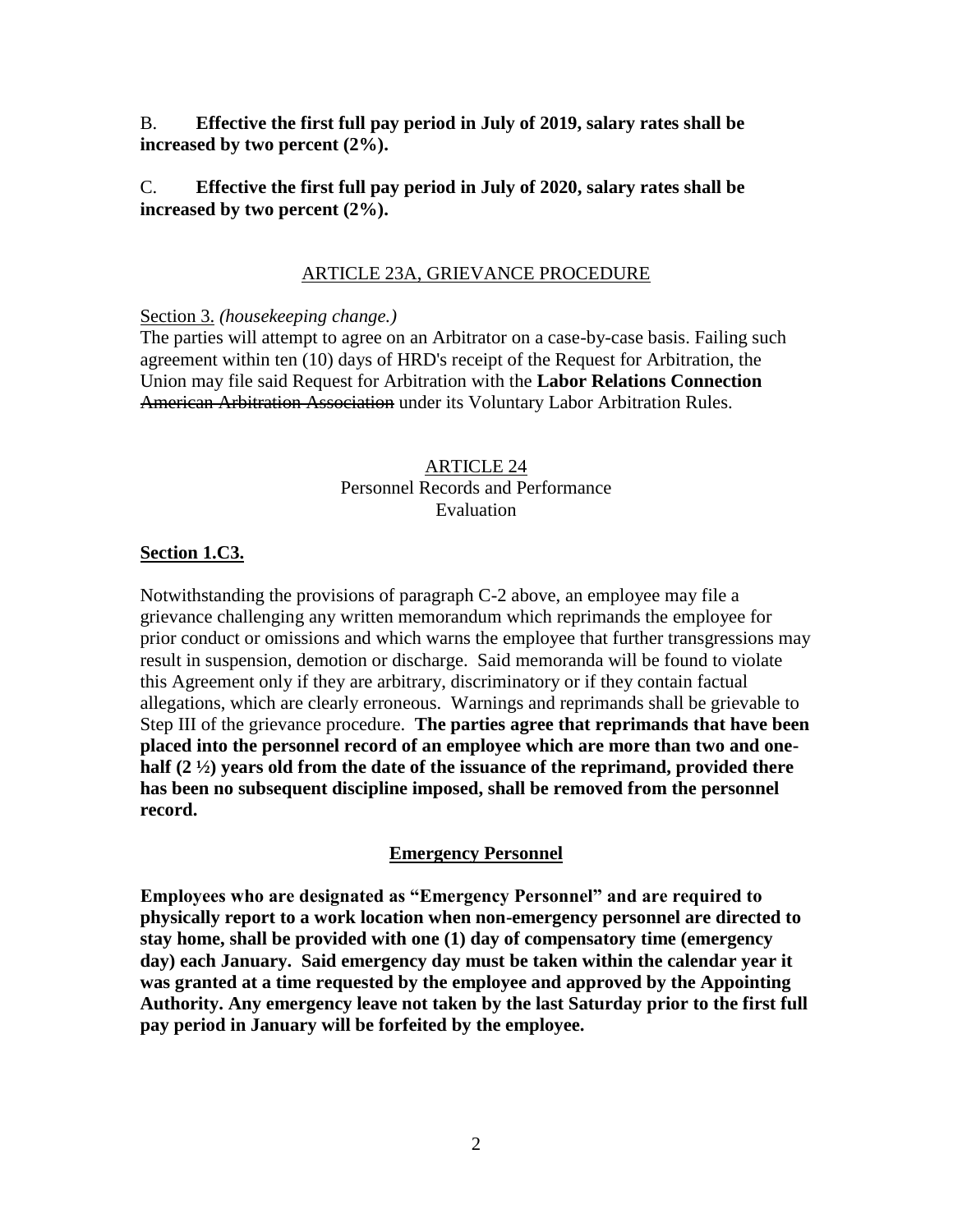B. **Effective the first full pay period in July of 2019, salary rates shall be increased by two percent (2%).** 

## C. **Effective the first full pay period in July of 2020, salary rates shall be increased by two percent (2%).**

#### ARTICLE 23A, GRIEVANCE PROCEDURE

Section 3. *(housekeeping change.)*

The parties will attempt to agree on an Arbitrator on a case-by-case basis. Failing such agreement within ten (10) days of HRD's receipt of the Request for Arbitration, the Union may file said Request for Arbitration with the **Labor Relations Connection** American Arbitration Association under its Voluntary Labor Arbitration Rules.

### ARTICLE 24 Personnel Records and Performance Evaluation

#### **Section 1.C3.**

Notwithstanding the provisions of paragraph C-2 above, an employee may file a grievance challenging any written memorandum which reprimands the employee for prior conduct or omissions and which warns the employee that further transgressions may result in suspension, demotion or discharge. Said memoranda will be found to violate this Agreement only if they are arbitrary, discriminatory or if they contain factual allegations, which are clearly erroneous. Warnings and reprimands shall be grievable to Step III of the grievance procedure. **The parties agree that reprimands that have been placed into the personnel record of an employee which are more than two and onehalf (2 ½) years old from the date of the issuance of the reprimand, provided there has been no subsequent discipline imposed, shall be removed from the personnel record.**

#### **Emergency Personnel**

**Employees who are designated as "Emergency Personnel" and are required to physically report to a work location when non-emergency personnel are directed to stay home, shall be provided with one (1) day of compensatory time (emergency day) each January. Said emergency day must be taken within the calendar year it was granted at a time requested by the employee and approved by the Appointing Authority. Any emergency leave not taken by the last Saturday prior to the first full pay period in January will be forfeited by the employee.**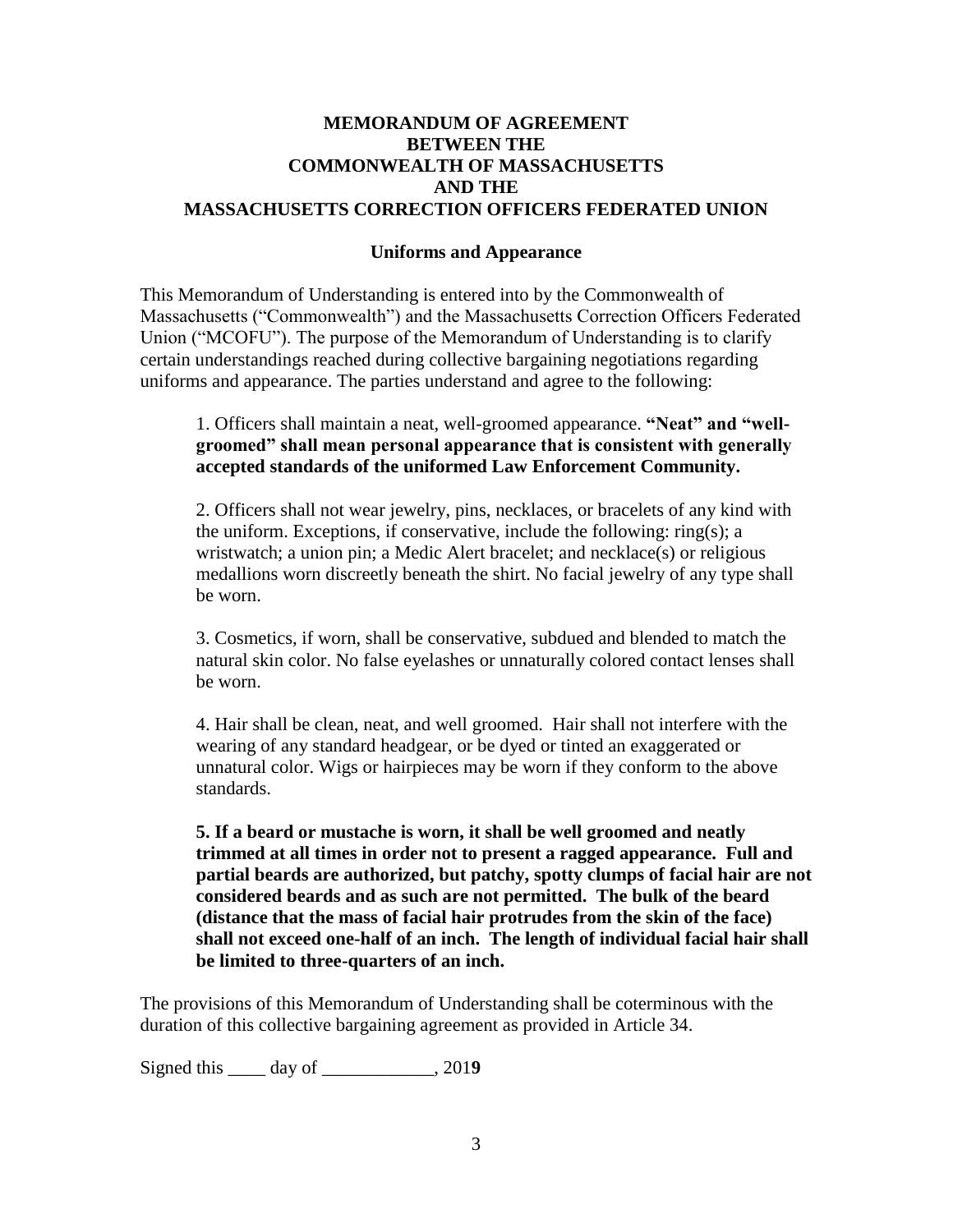## **MEMORANDUM OF AGREEMENT BETWEEN THE COMMONWEALTH OF MASSACHUSETTS AND THE MASSACHUSETTS CORRECTION OFFICERS FEDERATED UNION**

#### **Uniforms and Appearance**

This Memorandum of Understanding is entered into by the Commonwealth of Massachusetts ("Commonwealth") and the Massachusetts Correction Officers Federated Union ("MCOFU"). The purpose of the Memorandum of Understanding is to clarify certain understandings reached during collective bargaining negotiations regarding uniforms and appearance. The parties understand and agree to the following:

1. Officers shall maintain a neat, well-groomed appearance. **"Neat" and "wellgroomed" shall mean personal appearance that is consistent with generally accepted standards of the uniformed Law Enforcement Community.**

2. Officers shall not wear jewelry, pins, necklaces, or bracelets of any kind with the uniform. Exceptions, if conservative, include the following: ring(s); a wristwatch; a union pin; a Medic Alert bracelet; and necklace(s) or religious medallions worn discreetly beneath the shirt. No facial jewelry of any type shall be worn.

3. Cosmetics, if worn, shall be conservative, subdued and blended to match the natural skin color. No false eyelashes or unnaturally colored contact lenses shall be worn.

4. Hair shall be clean, neat, and well groomed. Hair shall not interfere with the wearing of any standard headgear, or be dyed or tinted an exaggerated or unnatural color. Wigs or hairpieces may be worn if they conform to the above standards.

**5. If a beard or mustache is worn, it shall be well groomed and neatly trimmed at all times in order not to present a ragged appearance. Full and partial beards are authorized, but patchy, spotty clumps of facial hair are not considered beards and as such are not permitted. The bulk of the beard (distance that the mass of facial hair protrudes from the skin of the face) shall not exceed one-half of an inch. The length of individual facial hair shall be limited to three-quarters of an inch.**

The provisions of this Memorandum of Understanding shall be coterminous with the duration of this collective bargaining agreement as provided in Article 34.

Signed this \_\_\_\_ day of \_\_\_\_\_\_\_\_\_\_\_\_, 201**9**